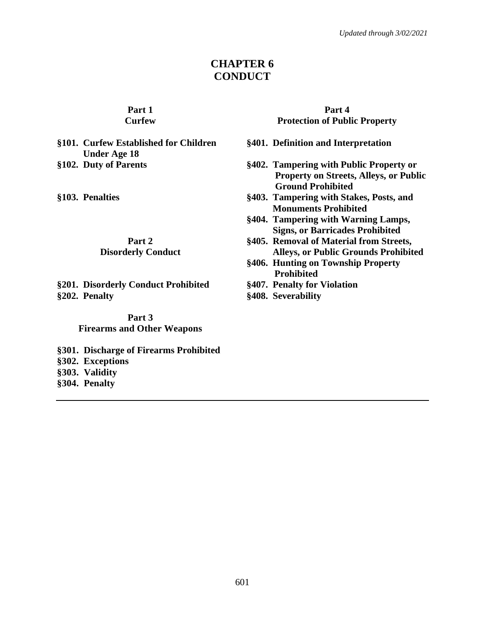# **CHAPTER 6 CONDUCT**

#### **Part 1 Curfew**

# **§101. Curfew Established for Children Under Age 18**

# **Part 2**

## **Disorderly Conduct**

**§201. Disorderly Conduct Prohibited §407. Penalty for Violation §202. Penalty §408. Severability**

**Part 3 Firearms and Other Weapons**

**§301. Discharge of Firearms Prohibited §302. Exceptions §303. Validity**

**§304. Penalty**

#### **Part 4 Protection of Public Property**

- **§401. Definition and Interpretation**
- **§102. Duty of Parents §402. Tampering with Public Property or Property on Streets, Alleys, or Public Ground Prohibited**
- **§103. Penalties §403. Tampering with Stakes, Posts, and Monuments Prohibited**
	- **§404. Tampering with Warning Lamps, Signs, or Barricades Prohibited**
	- **§405. Removal of Material from Streets, Alleys, or Public Grounds Prohibited**
	- **§406. Hunting on Township Property Prohibited**
	-
	-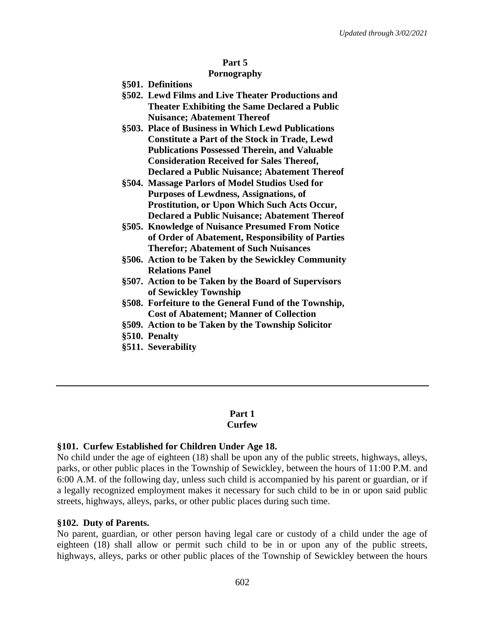## **Part 5**

## **Pornography**

- **§501. Definitions**
- **§502. Lewd Films and Live Theater Productions and Theater Exhibiting the Same Declared a Public Nuisance; Abatement Thereof**
- **§503. Place of Business in Which Lewd Publications Constitute a Part of the Stock in Trade, Lewd Publications Possessed Therein, and Valuable Consideration Received for Sales Thereof, Declared a Public Nuisance; Abatement Thereof**
- **§504. Massage Parlors of Model Studios Used for Purposes of Lewdness, Assignations, of Prostitution, or Upon Which Such Acts Occur, Declared a Public Nuisance; Abatement Thereof**
- **§505. Knowledge of Nuisance Presumed From Notice of Order of Abatement, Responsibility of Parties Therefor; Abatement of Such Nuisances**
- **§506. Action to be Taken by the Sewickley Community Relations Panel**
- **§507. Action to be Taken by the Board of Supervisors of Sewickley Township**
- **§508. Forfeiture to the General Fund of the Township, Cost of Abatement; Manner of Collection**
- **§509. Action to be Taken by the Township Solicitor**
- **§510. Penalty**
- **§511. Severability**

#### **Part 1 Curfew**

## **§101. Curfew Established for Children Under Age 18.**

No child under the age of eighteen (18) shall be upon any of the public streets, highways, alleys, parks, or other public places in the Township of Sewickley, between the hours of 11:00 P.M. and 6:00 A.M. of the following day, unless such child is accompanied by his parent or guardian, or if a legally recognized employment makes it necessary for such child to be in or upon said public streets, highways, alleys, parks, or other public places during such time.

## **§102. Duty of Parents.**

No parent, guardian, or other person having legal care or custody of a child under the age of eighteen (18) shall allow or permit such child to be in or upon any of the public streets, highways, alleys, parks or other public places of the Township of Sewickley between the hours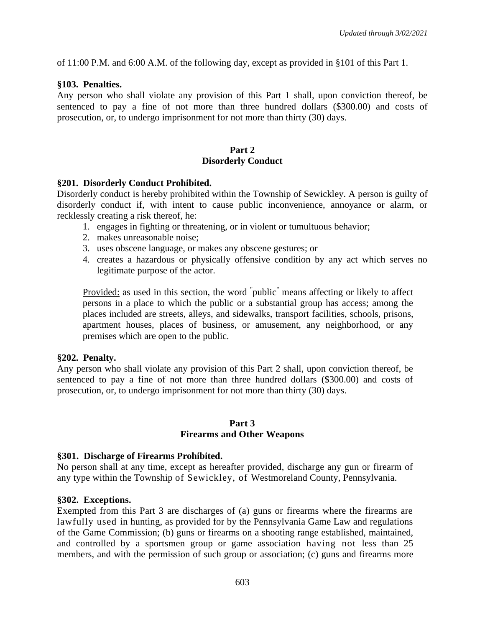of 11:00 P.M. and 6:00 A.M. of the following day, except as provided in §101 of this Part 1.

## **§103. Penalties.**

Any person who shall violate any provision of this Part 1 shall, upon conviction thereof, be sentenced to pay a fine of not more than three hundred dollars (\$300.00) and costs of prosecution, or, to undergo imprisonment for not more than thirty (30) days.

## **Part 2 Disorderly Conduct**

### **§201. Disorderly Conduct Prohibited.**

Disorderly conduct is hereby prohibited within the Township of Sewickley. A person is guilty of disorderly conduct if, with intent to cause public inconvenience, annoyance or alarm, or recklessly creating a risk thereof, he:

- 1. engages in fighting or threatening, or in violent or tumultuous behavior;
- 2. makes unreasonable noise;
- 3. uses obscene language, or makes any obscene gestures; or
- 4. creates a hazardous or physically offensive condition by any act which serves no legitimate purpose of the actor.

Provided: as used in this section, the word "public" means affecting or likely to affect persons in a place to which the public or a substantial group has access; among the places included are streets, alleys, and sidewalks, transport facilities, schools, prisons, apartment houses, places of business, or amusement, any neighborhood, or any premises which are open to the public.

### **§202. Penalty.**

Any person who shall violate any provision of this Part 2 shall, upon conviction thereof, be sentenced to pay a fine of not more than three hundred dollars (\$300.00) and costs of prosecution, or, to undergo imprisonment for not more than thirty (30) days.

### **Part 3**

### **Firearms and Other Weapons**

### **§301. Discharge of Firearms Prohibited.**

No person shall at any time, except as hereafter provided, discharge any gun or firearm of any type within the Township of Sewickley, of Westmoreland County, Pennsylvania.

### **§302. Exceptions.**

Exempted from this Part 3 are discharges of (a) guns or firearms where the firearms are lawfully used in hunting, as provided for by the Pennsylvania Game Law and regulations of the Game Commission; (b) guns or firearms on a shooting range established, maintained, and controlled by a sportsmen group or game association having not less than 25 members, and with the permission of such group or association; (c) guns and firearms more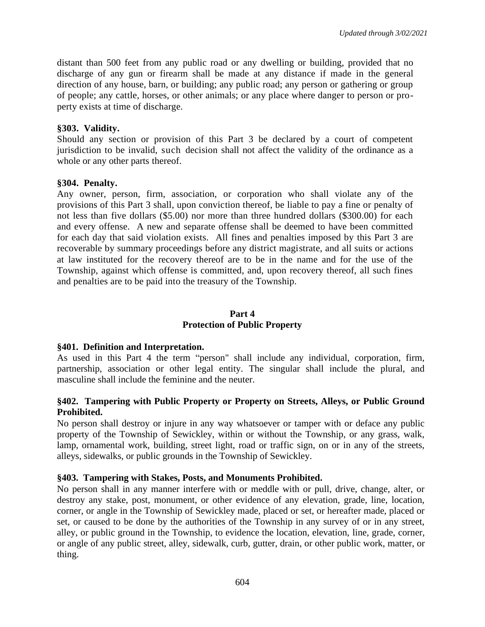distant than 500 feet from any public road or any dwelling or building, provided that no discharge of any gun or firearm shall be made at any distance if made in the general direction of any house, barn, or building; any public road; any person or gathering or group of people; any cattle, horses, or other animals; or any place where danger to person or property exists at time of discharge.

## **§303. Validity.**

Should any section or provision of this Part 3 be declared by a court of competent jurisdiction to be invalid, such decision shall not affect the validity of the ordinance as a whole or any other parts thereof.

## **§304. Penalty.**

Any owner, person, firm, association, or corporation who shall violate any of the provisions of this Part 3 shall, upon conviction thereof, be liable to pay a fine or penalty of not less than five dollars (\$5.00) nor more than three hundred dollars (\$300.00) for each and every offense. A new and separate offense shall be deemed to have been committed for each day that said violation exists. All fines and penalties imposed by this Part 3 are recoverable by summary proceedings before any district magistrate, and all suits or actions at law instituted for the recovery thereof are to be in the name and for the use of the Township, against which offense is committed, and, upon recovery thereof, all such fines and penalties are to be paid into the treasury of the Township.

## **Part 4 Protection of Public Property**

### **§401. Definition and Interpretation.**

As used in this Part 4 the term "person" shall include any individual, corporation, firm, partnership, association or other legal entity. The singular shall include the plural, and masculine shall include the feminine and the neuter.

## **§402. Tampering with Public Property or Property on Streets, Alleys, or Public Ground Prohibited.**

No person shall destroy or injure in any way whatsoever or tamper with or deface any public property of the Township of Sewickley, within or without the Township, or any grass, walk, lamp, ornamental work, building, street light, road or traffic sign, on or in any of the streets, alleys, sidewalks, or public grounds in the Township of Sewickley.

### **§403. Tampering with Stakes, Posts, and Monuments Prohibited.**

No person shall in any manner interfere with or meddle with or pull, drive, change, alter, or destroy any stake, post, monument, or other evidence of any elevation, grade, line, location, corner, or angle in the Township of Sewickley made, placed or set, or hereafter made, placed or set, or caused to be done by the authorities of the Township in any survey of or in any street, alley, or public ground in the Township, to evidence the location, elevation, line, grade, corner, or angle of any public street, alley, sidewalk, curb, gutter, drain, or other public work, matter, or thing.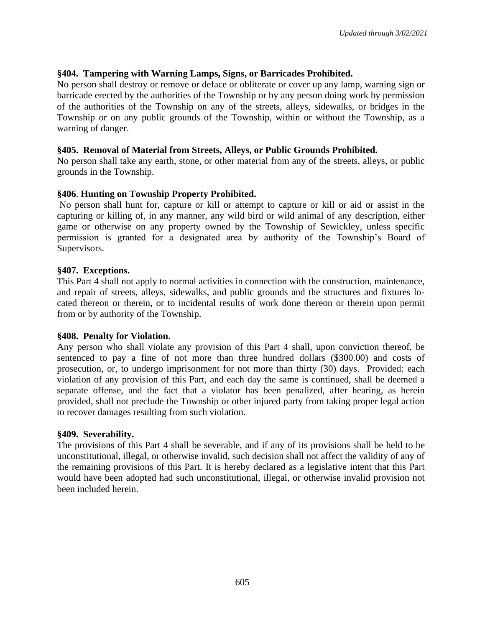## **§404. Tampering with Warning Lamps, Signs, or Barricades Prohibited.**

No person shall destroy or remove or deface or obliterate or cover up any lamp, warning sign or barricade erected by the authorities of the Township or by any person doing work by permission of the authorities of the Township on any of the streets, alleys, sidewalks, or bridges in the Township or on any public grounds of the Township, within or without the Township, as a warning of danger.

### **§405. Removal of Material from Streets, Alleys, or Public Grounds Prohibited.**

No person shall take any earth, stone, or other material from any of the streets, alleys, or public grounds in the Township.

## **§406**. **Hunting on Township Property Prohibited.**

No person shall hunt for, capture or kill or attempt to capture or kill or aid or assist in the capturing or killing of, in any manner, any wild bird or wild animal of any description, either game or otherwise on any property owned by the Township of Sewickley, unless specific permission is granted for a designated area by authority of the Township's Board of Supervisors.

### **§407. Exceptions.**

This Part 4 shall not apply to normal activities in connection with the construction, maintenance, and repair of streets, alleys, sidewalks, and public grounds and the structures and fixtures located thereon or therein, or to incidental results of work done thereon or therein upon permit from or by authority of the Township.

### **§408. Penalty for Violation.**

Any person who shall violate any provision of this Part 4 shall, upon conviction thereof, be sentenced to pay a fine of not more than three hundred dollars (\$300.00) and costs of prosecution, or, to undergo imprisonment for not more than thirty (30) days. Provided: each violation of any provision of this Part, and each day the same is continued, shall be deemed a separate offense, and the fact that a violator has been penalized, after hearing, as herein provided, shall not preclude the Township or other injured party from taking proper legal action to recover damages resulting from such violation.

### **§409. Severability.**

The provisions of this Part 4 shall be severable, and if any of its provisions shall be held to be unconstitutional, illegal, or otherwise invalid, such decision shall not affect the validity of any of the remaining provisions of this Part. It is hereby declared as a legislative intent that this Part would have been adopted had such unconstitutional, illegal, or otherwise invalid provision not been included herein.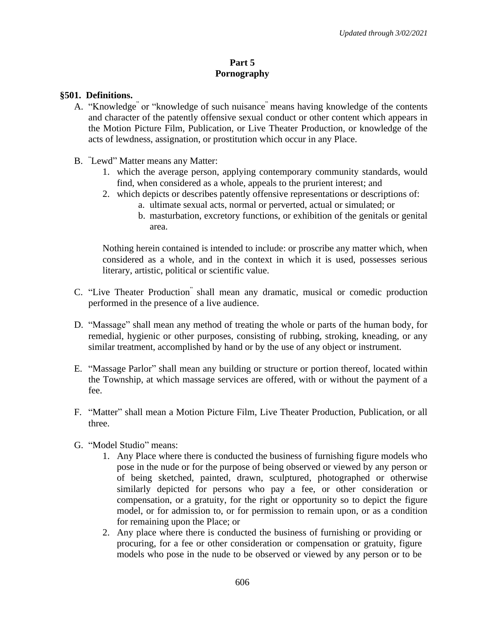## **Part 5 Pornography**

## **§501. Definitions.**

- A. "Knowledge" or "knowledge of such nuisance" means having knowledge of the contents and character of the patently offensive sexual conduct or other content which appears in the Motion Picture Film, Publication, or Live Theater Production, or knowledge of the acts of lewdness, assignation, or prostitution which occur in any Place.
- B. "Lewd" Matter means any Matter:
	- 1. which the average person, applying contemporary community standards, would find, when considered as a whole, appeals to the prurient interest; and
	- 2. which depicts or describes patently offensive representations or descriptions of: a. ultimate sexual acts, normal or perverted, actual or simulated; or
		- b. masturbation, excretory functions, or exhibition of the genitals or genital area.

Nothing herein contained is intended to include: or proscribe any matter which, when considered as a whole, and in the context in which it is used, possesses serious literary, artistic, political or scientific value.

- C. "Live Theater Production" shall mean any dramatic, musical or comedic production performed in the presence of a live audience.
- D. "Massage" shall mean any method of treating the whole or parts of the human body, for remedial, hygienic or other purposes, consisting of rubbing, stroking, kneading, or any similar treatment, accomplished by hand or by the use of any object or instrument.
- E. "Massage Parlor" shall mean any building or structure or portion thereof, located within the Township, at which massage services are offered, with or without the payment of a fee.
- F. "Matter" shall mean a Motion Picture Film, Live Theater Production, Publication, or all three.
- G. "Model Studio" means:
	- 1. Any Place where there is conducted the business of furnishing figure models who pose in the nude or for the purpose of being observed or viewed by any person or of being sketched, painted, drawn, sculptured, photographed or otherwise similarly depicted for persons who pay a fee, or other consideration or compensation, or a gratuity, for the right or opportunity so to depict the figure model, or for admission to, or for permission to remain upon, or as a condition for remaining upon the Place; or
	- 2. Any place where there is conducted the business of furnishing or providing or procuring, for a fee or other consideration or compensation or gratuity, figure models who pose in the nude to be observed or viewed by any person or to be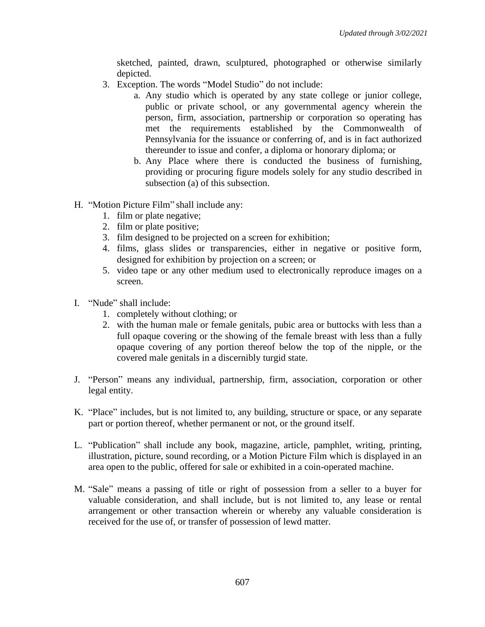sketched, painted, drawn, sculptured, photographed or otherwise similarly depicted.

- 3. Exception. The words "Model Studio" do not include:
	- a. Any studio which is operated by any state college or junior college, public or private school, or any governmental agency wherein the person, firm, association, partnership or corporation so operating has met the requirements established by the Commonwealth of Pennsylvania for the issuance or conferring of, and is in fact authorized thereunder to issue and confer, a diploma or honorary diploma; or
	- b. Any Place where there is conducted the business of furnishing, providing or procuring figure models solely for any studio described in subsection (a) of this subsection.
- H. "Motion Picture Film" shall include any:
	- 1. film or plate negative;
	- 2. film or plate positive;
	- 3. film designed to be projected on a screen for exhibition;
	- 4. films, glass slides or transparencies, either in negative or positive form, designed for exhibition by projection on a screen; or
	- 5. video tape or any other medium used to electronically reproduce images on a screen.
- I. "Nude" shall include:
	- 1. completely without clothing; or
	- 2. with the human male or female genitals, pubic area or buttocks with less than a full opaque covering or the showing of the female breast with less than a fully opaque covering of any portion thereof below the top of the nipple, or the covered male genitals in a discernibly turgid state.
- J. "Person" means any individual, partnership, firm, association, corporation or other legal entity.
- K. "Place" includes, but is not limited to, any building, structure or space, or any separate part or portion thereof, whether permanent or not, or the ground itself.
- L. "Publication" shall include any book, magazine, article, pamphlet, writing, printing, illustration, picture, sound recording, or a Motion Picture Film which is displayed in an area open to the public, offered for sale or exhibited in a coin-operated machine.
- M. "Sale" means a passing of title or right of possession from a seller to a buyer for valuable consideration, and shall include, but is not limited to, any lease or rental arrangement or other transaction wherein or whereby any valuable consideration is received for the use of, or transfer of possession of lewd matter.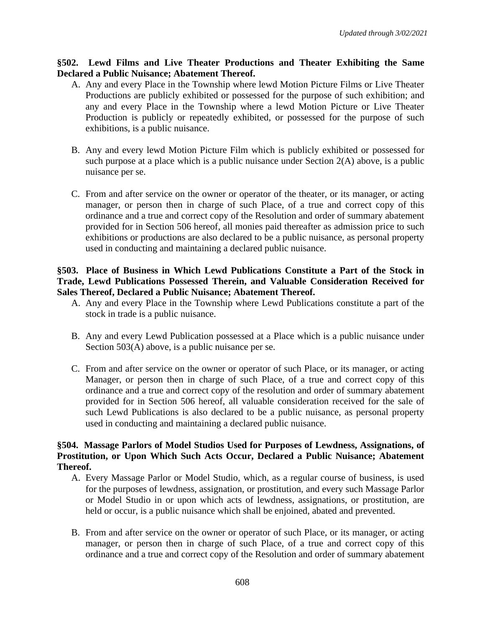## **§502. Lewd Films and Live Theater Productions and Theater Exhibiting the Same Declared a Public Nuisance; Abatement Thereof.**

- A. Any and every Place in the Township where lewd Motion Picture Films or Live Theater Productions are publicly exhibited or possessed for the purpose of such exhibition; and any and every Place in the Township where a lewd Motion Picture or Live Theater Production is publicly or repeatedly exhibited, or possessed for the purpose of such exhibitions, is a public nuisance.
- B. Any and every lewd Motion Picture Film which is publicly exhibited or possessed for such purpose at a place which is a public nuisance under Section 2(A) above, is a public nuisance per se.
- C. From and after service on the owner or operator of the theater, or its manager, or acting manager, or person then in charge of such Place, of a true and correct copy of this ordinance and a true and correct copy of the Resolution and order of summary abatement provided for in Section 506 hereof, all monies paid thereafter as admission price to such exhibitions or productions are also declared to be a public nuisance, as personal property used in conducting and maintaining a declared public nuisance.

## **§503. Place of Business in Which Lewd Publications Constitute a Part of the Stock in Trade, Lewd Publications Possessed Therein, and Valuable Consideration Received for Sales Thereof, Declared a Public Nuisance; Abatement Thereof.**

- A. Any and every Place in the Township where Lewd Publications constitute a part of the stock in trade is a public nuisance.
- B. Any and every Lewd Publication possessed at a Place which is a public nuisance under Section 503(A) above, is a public nuisance per se.
- C. From and after service on the owner or operator of such Place, or its manager, or acting Manager, or person then in charge of such Place, of a true and correct copy of this ordinance and a true and correct copy of the resolution and order of summary abatement provided for in Section 506 hereof, all valuable consideration received for the sale of such Lewd Publications is also declared to be a public nuisance, as personal property used in conducting and maintaining a declared public nuisance.

## **§504. Massage Parlors of Model Studios Used for Purposes of Lewdness, Assignations, of Prostitution, or Upon Which Such Acts Occur, Declared a Public Nuisance; Abatement Thereof.**

- A. Every Massage Parlor or Model Studio, which, as a regular course of business, is used for the purposes of lewdness, assignation, or prostitution, and every such Massage Parlor or Model Studio in or upon which acts of lewdness, assignations, or prostitution, are held or occur, is a public nuisance which shall be enjoined, abated and prevented.
- B. From and after service on the owner or operator of such Place, or its manager, or acting manager, or person then in charge of such Place, of a true and correct copy of this ordinance and a true and correct copy of the Resolution and order of summary abatement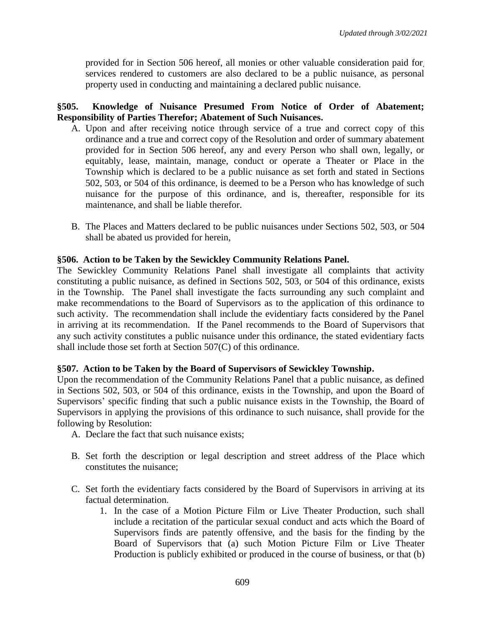provided for in Section 506 hereof, all monies or other valuable consideration paid for, services rendered to customers are also declared to be a public nuisance, as personal property used in conducting and maintaining a declared public nuisance.

## **§505. Knowledge of Nuisance Presumed From Notice of Order of Abatement; Responsibility of Parties Therefor; Abatement of Such Nuisances.**

- A. Upon and after receiving notice through service of a true and correct copy of this ordinance and a true and correct copy of the Resolution and order of summary abatement provided for in Section 506 hereof, any and every Person who shall own, legally, or equitably, lease, maintain, manage, conduct or operate a Theater or Place in the Township which is declared to be a public nuisance as set forth and stated in Sections 502, 503, or 504 of this ordinance, is deemed to be a Person who has knowledge of such nuisance for the purpose of this ordinance, and is, thereafter, responsible for its maintenance, and shall be liable therefor.
- B. The Places and Matters declared to be public nuisances under Sections 502, 503, or 504 shall be abated us provided for herein,

## **§506. Action to be Taken by the Sewickley Community Relations Panel.**

The Sewickley Community Relations Panel shall investigate all complaints that activity constituting a public nuisance, as defined in Sections 502, 503, or 504 of this ordinance, exists in the Township. The Panel shall investigate the facts surrounding any such complaint and make recommendations to the Board of Supervisors as to the application of this ordinance to such activity. The recommendation shall include the evidentiary facts considered by the Panel in arriving at its recommendation. If the Panel recommends to the Board of Supervisors that any such activity constitutes a public nuisance under this ordinance, the stated evidentiary facts shall include those set forth at Section 507(C) of this ordinance.

### **§507. Action to be Taken by the Board of Supervisors of Sewickley Township.**

Upon the recommendation of the Community Relations Panel that a public nuisance, as defined in Sections 502, 503, or 504 of this ordinance, exists in the Township, and upon the Board of Supervisors' specific finding that such a public nuisance exists in the Township, the Board of Supervisors in applying the provisions of this ordinance to such nuisance, shall provide for the following by Resolution:

- A. Declare the fact that such nuisance exists;
- B. Set forth the description or legal description and street address of the Place which constitutes the nuisance;
- C. Set forth the evidentiary facts considered by the Board of Supervisors in arriving at its factual determination.
	- 1. In the case of a Motion Picture Film or Live Theater Production, such shall include a recitation of the particular sexual conduct and acts which the Board of Supervisors finds are patently offensive, and the basis for the finding by the Board of Supervisors that (a) such Motion Picture Film or Live Theater Production is publicly exhibited or produced in the course of business, or that (b)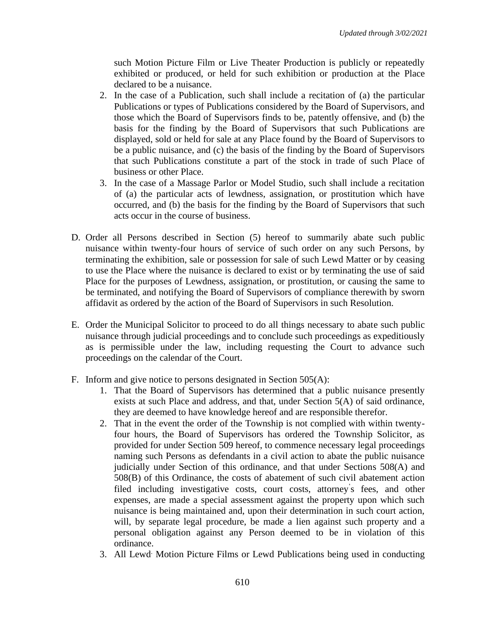such Motion Picture Film or Live Theater Production is publicly or repeatedly exhibited or produced, or held for such exhibition or production at the Place declared to be a nuisance.

- 2. In the case of a Publication, such shall include a recitation of (a) the particular Publications or types of Publications considered by the Board of Supervisors, and those which the Board of Supervisors finds to be, patently offensive, and (b) the basis for the finding by the Board of Supervisors that such Publications are displayed, sold or held for sale at any Place found by the Board of Supervisors to be a public nuisance, and (c) the basis of the finding by the Board of Supervisors that such Publications constitute a part of the stock in trade of such Place of business or other Place.
- 3. In the case of a Massage Parlor or Model Studio, such shall include a recitation of (a) the particular acts of lewdness, assignation, or prostitution which have occurred, and (b) the basis for the finding by the Board of Supervisors that such acts occur in the course of business.
- D. Order all Persons described in Section (5) hereof to summarily abate such public nuisance within twenty-four hours of service of such order on any such Persons, by terminating the exhibition, sale or possession for sale of such Lewd Matter or by ceasing to use the Place where the nuisance is declared to exist or by terminating the use of said Place for the purposes of Lewdness, assignation, or prostitution, or causing the same to be terminated, and notifying the Board of Supervisors of compliance therewith by sworn affidavit as ordered by the action of the Board of Supervisors in such Resolution.
- E. Order the Municipal Solicitor to proceed to do all things necessary to abate such public nuisance through judicial proceedings and to conclude such proceedings as expeditiously as is permissible under the law, including requesting the Court to advance such proceedings on the calendar of the Court.
- F. Inform and give notice to persons designated in Section 505(A):
	- 1. That the Board of Supervisors has determined that a public nuisance presently exists at such Place and address, and that, under Section 5(A) of said ordinance, they are deemed to have knowledge hereof and are responsible therefor.
	- 2. That in the event the order of the Township is not complied with within twentyfour hours, the Board of Supervisors has ordered the Township Solicitor, as provided for under Section 509 hereof, to commence necessary legal proceedings naming such Persons as defendants in a civil action to abate the public nuisance judicially under Section of this ordinance, and that under Sections 508(A) and 508(B) of this Ordinance, the costs of abatement of such civil abatement action filed including investigative costs, court costs, attorney' s fees, and other expenses, are made a special assessment against the property upon which such nuisance is being maintained and, upon their determination in such court action, will, by separate legal procedure, be made a lien against such property and a personal obligation against any Person deemed to be in violation of this ordinance.
	- 3. All Lewd. Motion Picture Films or Lewd Publications being used in conducting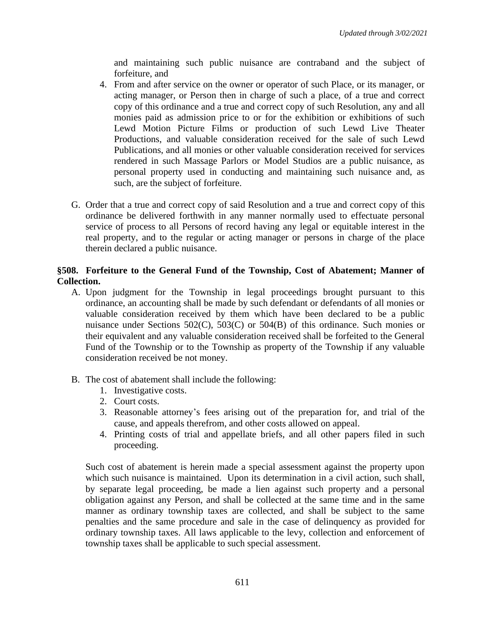and maintaining such public nuisance are contraband and the subject of forfeiture, and

- 4. From and after service on the owner or operator of such Place, or its manager, or acting manager, or Person then in charge of such a place, of a true and correct copy of this ordinance and a true and correct copy of such Resolution, any and all monies paid as admission price to or for the exhibition or exhibitions of such Lewd Motion Picture Films or production of such Lewd Live Theater Productions, and valuable consideration received for the sale of such Lewd Publications, and all monies or other valuable consideration received for services rendered in such Massage Parlors or Model Studios are a public nuisance, as personal property used in conducting and maintaining such nuisance and, as such, are the subject of forfeiture.
- G. Order that a true and correct copy of said Resolution and a true and correct copy of this ordinance be delivered forthwith in any manner normally used to effectuate personal service of process to all Persons of record having any legal or equitable interest in the real property, and to the regular or acting manager or persons in charge of the place therein declared a public nuisance.

## **§508. Forfeiture to the General Fund of the Township, Cost of Abatement; Manner of Collection.**

- A. Upon judgment for the Township in legal proceedings brought pursuant to this ordinance, an accounting shall be made by such defendant or defendants of all monies or valuable consideration received by them which have been declared to be a public nuisance under Sections 502(C), 503(C) or 504(B) of this ordinance. Such monies or their equivalent and any valuable consideration received shall be forfeited to the General Fund of the Township or to the Township as property of the Township if any valuable consideration received be not money.
- B. The cost of abatement shall include the following:
	- 1. Investigative costs.
	- 2. Court costs.
	- 3. Reasonable attorney's fees arising out of the preparation for, and trial of the cause, and appeals therefrom, and other costs allowed on appeal.
	- 4. Printing costs of trial and appellate briefs, and all other papers filed in such proceeding.

Such cost of abatement is herein made a special assessment against the property upon which such nuisance is maintained. Upon its determination in a civil action, such shall, by separate legal proceeding, be made a lien against such property and a personal obligation against any Person, and shall be collected at the same time and in the same manner as ordinary township taxes are collected, and shall be subject to the same penalties and the same procedure and sale in the case of delinquency as provided for ordinary township taxes. All laws applicable to the levy, collection and enforcement of township taxes shall be applicable to such special assessment.